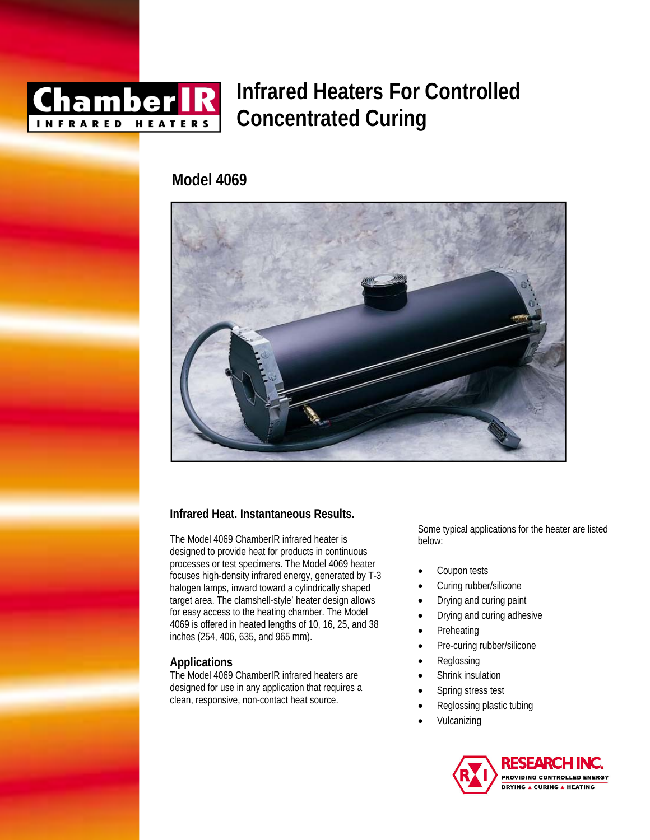

# **Infrared Heaters For Controlled Concentrated Curing**

# **Model 4069**



# **Infrared Heat. Instantaneous Results.**

The Model 4069 ChamberIR infrared heater is designed to provide heat for products in continuous processes or test specimens. The Model 4069 heater focuses high-density infrared energy, generated by T-3 halogen lamps, inward toward a cylindrically shaped target area. The clamshell-style' heater design allows for easy access to the heating chamber. The Model 4069 is offered in heated lengths of 10, 16, 25, and 38 inches (254, 406, 635, and 965 mm).

### **Applications**

The Model 4069 ChamberIR infrared heaters are designed for use in any application that requires a clean, responsive, non-contact heat source.

Some typical applications for the heater are listed below:

- Coupon tests
- Curing rubber/silicone
- Drying and curing paint
- Drying and curing adhesive
- **Preheating**
- Pre-curing rubber/silicone
- **Reglossing**
- Shrink insulation
- Spring stress test
- Reglossing plastic tubing
- Vulcanizing

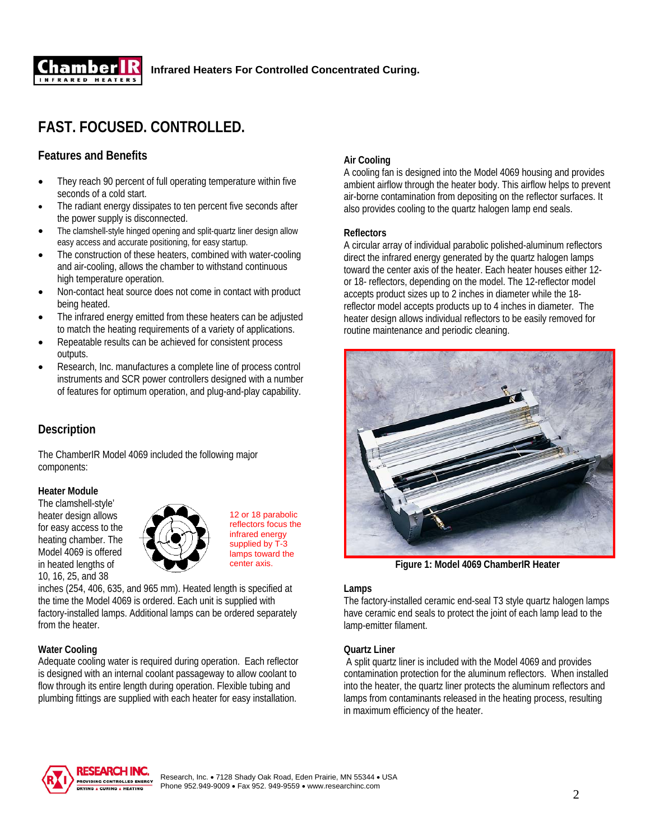

# **FAST. FOCUSED. CONTROLLED.**

# **Features and Benefits**

- They reach 90 percent of full operating temperature within five seconds of a cold start.
- The radiant energy dissipates to ten percent five seconds after the power supply is disconnected.
- The clamshell-style hinged opening and split-quartz liner design allow easy access and accurate positioning, for easy startup.
- The construction of these heaters, combined with water-cooling and air-cooling, allows the chamber to withstand continuous high temperature operation.
- Non-contact heat source does not come in contact with product being heated.
- The infrared energy emitted from these heaters can be adjusted to match the heating requirements of a variety of applications.
- Repeatable results can be achieved for consistent process outputs.
- Research, Inc. manufactures a complete line of process control instruments and SCR power controllers designed with a number of features for optimum operation, and plug-and-play capability.

# **Description**

The ChamberIR Model 4069 included the following major components:

#### **Heater Module**

The clamshell-style' heater design allows for easy access to the heating chamber. The Model 4069 is offered in heated lengths of 10, 16, 25, and 38



12 or 18 parabolic reflectors focus the infrared energy supplied by T-3 lamps toward the center axis.

inches (254, 406, 635, and 965 mm). Heated length is specified at the time the Model 4069 is ordered. Each unit is supplied with factory-installed lamps. Additional lamps can be ordered separately from the heater.

#### **Water Cooling**

Adequate cooling water is required during operation. Each reflector is designed with an internal coolant passageway to allow coolant to flow through its entire length during operation. Flexible tubing and plumbing fittings are supplied with each heater for easy installation.

### **Air Cooling**

A cooling fan is designed into the Model 4069 housing and provides ambient airflow through the heater body. This airflow helps to prevent air-borne contamination from depositing on the reflector surfaces. It also provides cooling to the quartz halogen lamp end seals.

#### **Reflectors**

A circular array of individual parabolic polished-aluminum reflectors direct the infrared energy generated by the quartz halogen lamps toward the center axis of the heater. Each heater houses either 12 or 18- reflectors, depending on the model. The 12-reflector model accepts product sizes up to 2 inches in diameter while the 18 reflector model accepts products up to 4 inches in diameter. The heater design allows individual reflectors to be easily removed for routine maintenance and periodic cleaning.



**Figure 1: Model 4069 ChamberIR Heater**

#### **Lamps**

The factory-installed ceramic end-seal T3 style quartz halogen lamps have ceramic end seals to protect the joint of each lamp lead to the lamp-emitter filament.

#### **Quartz Liner**

 A split quartz liner is included with the Model 4069 and provides contamination protection for the aluminum reflectors. When installed into the heater, the quartz liner protects the aluminum reflectors and lamps from contaminants released in the heating process, resulting in maximum efficiency of the heater.



2 Research, Inc. • 7128 Shady Oak Road, Eden Prairie, MN 55344 • USA Phone 952.949-9009 • Fax 952. 949-9559 • www.researchinc.com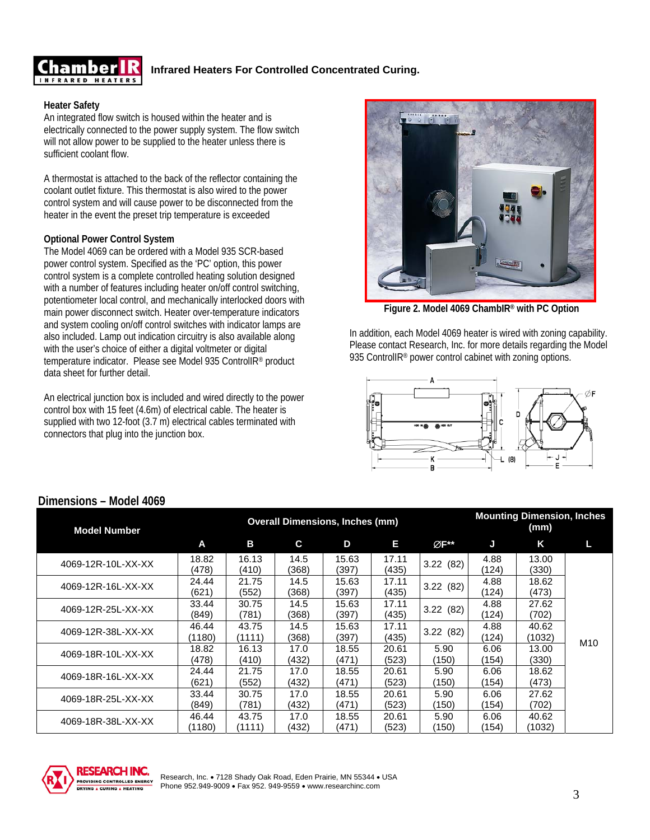

## **Infrared Heaters For Controlled Concentrated Curing.**

#### **Heater Safety**

An integrated flow switch is housed within the heater and is electrically connected to the power supply system. The flow switch will not allow power to be supplied to the heater unless there is sufficient coolant flow.

A thermostat is attached to the back of the reflector containing the coolant outlet fixture. This thermostat is also wired to the power control system and will cause power to be disconnected from the heater in the event the preset trip temperature is exceeded

#### **Optional Power Control System**

The Model 4069 can be ordered with a Model 935 SCR-based power control system. Specified as the 'PC' option, this power control system is a complete controlled heating solution designed with a number of features including heater on/off control switching, potentiometer local control, and mechanically interlocked doors with main power disconnect switch. Heater over-temperature indicators and system cooling on/off control switches with indicator lamps are also included. Lamp out indication circuitry is also available along with the user's choice of either a digital voltmeter or digital temperature indicator. Please see Model 935 ControlIR® product data sheet for further detail.

An electrical junction box is included and wired directly to the power control box with 15 feet (4.6m) of electrical cable. The heater is supplied with two 12-foot (3.7 m) electrical cables terminated with connectors that plug into the junction box.



 **Figure 2. Model 4069 ChambIR® with PC Option** 

In addition, each Model 4069 heater is wired with zoning capability. Please contact Research, Inc. for more details regarding the Model 935 ControlIR<sup>®</sup> power control cabinet with zoning options.



### **Dimensions – Model 4069**

| <b>Model Number</b> |                 |                 | <b>Overall Dimensions, Inches (mm)</b> |                |                |               |               | <b>Mounting Dimension, Inches</b><br>(mm) |                 |
|---------------------|-----------------|-----------------|----------------------------------------|----------------|----------------|---------------|---------------|-------------------------------------------|-----------------|
|                     | A               | В               | C.                                     | D              | E              | ØF**          | J             | K                                         | L               |
| 4069-12R-10L-XX-XX  | 18.82<br>(478)  | 16.13<br>(410)  | 14.5<br>(368)                          | 15.63<br>(397) | 17.11<br>(435) | 3.22(82)      | 4.88<br>(124) | 13.00<br>(330)                            |                 |
| 4069-12R-16L-XX-XX  | 24.44<br>(621)  | 21.75<br>(552)  | 14.5<br>(368)                          | 15.63<br>(397) | 17.11<br>(435) | 3.22(82)      | 4.88<br>(124) | 18.62<br>(473)                            |                 |
| 4069-12R-25L-XX-XX  | 33.44<br>(849)  | 30.75<br>(781)  | 14.5<br>(368)                          | 15.63<br>(397) | 17.11<br>(435) | 3.22(82)      | 4.88<br>(124) | 27.62<br>(702)                            |                 |
| 4069-12R-38L-XX-XX  | 46.44<br>(1180) | 43.75<br>(1111) | 14.5<br>(368)                          | 15.63<br>(397) | 17.11<br>(435) | 3.22(82)      | 4.88<br>(124) | 40.62<br>(1032)                           | M <sub>10</sub> |
| 4069-18R-10L-XX-XX  | 18.82<br>(478)  | 16.13<br>(410)  | 17.0<br>(432)                          | 18.55<br>(471) | 20.61<br>(523) | 5.90<br>(150) | 6.06<br>(154) | 13.00<br>(330)                            |                 |
| 4069-18R-16L-XX-XX  | 24.44<br>(621)  | 21.75<br>(552)  | 17.0<br>(432)                          | 18.55<br>(471) | 20.61<br>(523) | 5.90<br>(150) | 6.06<br>(154) | 18.62<br>(473)                            |                 |
| 4069-18R-25L-XX-XX  | 33.44<br>(849)  | 30.75<br>(781)  | 17.0<br>(432)                          | 18.55<br>(471) | 20.61<br>(523) | 5.90<br>(150) | 6.06<br>(154) | 27.62<br>(702)                            |                 |
| 4069-18R-38L-XX-XX  | 46.44<br>(1180) | 43.75<br>(1111) | 17.0<br>(432)                          | 18.55<br>(471) | 20.61<br>(523) | 5.90<br>(150) | 6.06<br>(154) | 40.62<br>(1032)                           |                 |

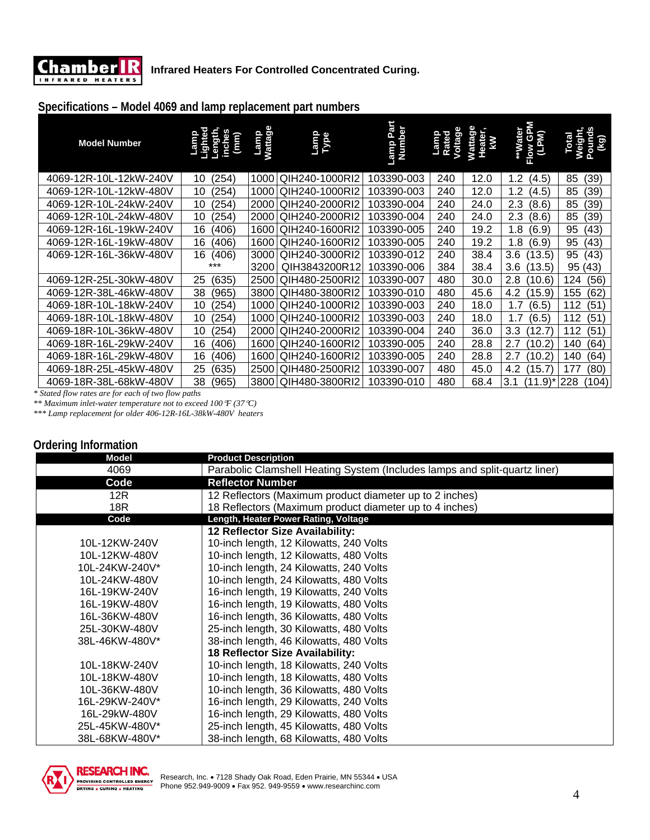

# **Specifications – Model 4069 and lamp replacement part numbers**

| <b>Model Number</b>    | ength<br>$\mathsf{(\hspace{-.07cm}\mathsf{m}\hspace{-.07cm}\mathsf{m}\hspace{-.07cm}\mathsf{m}\hspace{-.07cm}\mathsf{m}\hspace{-.07cm}\mathsf{m}\hspace{-.07cm}\mathsf{m}\hspace{-.07cm}\mathsf{m}\hspace{-.07cm}\mathsf{m}\hspace{-.07cm}\mathsf{m}\hspace{-.07cm}\mathsf{m}\hspace{-.07cm}\mathsf{m}\hspace{-.07cm}\mathsf{m}\hspace{-.07cm}\mathsf{m}\hspace{-.07cm}\mathsf{m}\hspace{-.07cm}\mathsf{m}\hspace{-.07cm}\mathsf{m}\hspace{-.07cm$<br>inche | <b>Wattage</b><br>Lamp | Lamp<br>Type        | Lamp Part<br>Number | Voltage<br>Lamp<br>Rated | Wattage<br>Heater<br>kW | **Water<br>Flow GPM<br>(LPM) | <b>Weight</b><br>Total<br>Ē<br>ହି |
|------------------------|-------------------------------------------------------------------------------------------------------------------------------------------------------------------------------------------------------------------------------------------------------------------------------------------------------------------------------------------------------------------------------------------------------------------------------------------------------------|------------------------|---------------------|---------------------|--------------------------|-------------------------|------------------------------|-----------------------------------|
| 4069-12R-10L-12kW-240V | (254)<br>10                                                                                                                                                                                                                                                                                                                                                                                                                                                 | 1000                   | QIH240-1000RI2      | 103390-003          | 240                      | 12.0                    | 1.2<br>(4.5)                 | (39)<br>85                        |
| 4069-12R-10L-12kW-480V | 10<br>(254)                                                                                                                                                                                                                                                                                                                                                                                                                                                 | 1000                   | QIH240-1000RI2      | 103390-003          | 240                      | 12.0                    | 1.2<br>(4.5)                 | 85<br>(39)                        |
| 4069-12R-10L-24kW-240V | 10<br>(254)                                                                                                                                                                                                                                                                                                                                                                                                                                                 | 2000                   | QIH240-2000RI2      | 103390-004          | 240                      | 24.0                    | 2.3<br>(8.6)                 | 85<br>(39)                        |
| 4069-12R-10L-24kW-480V | 10<br>(254)                                                                                                                                                                                                                                                                                                                                                                                                                                                 | 2000                   | QIH240-2000RI2      | 103390-004          | 240                      | 24.0                    | 2.3<br>(8.6)                 | 85<br>(39)                        |
| 4069-12R-16L-19kW-240V | 16<br>(406)                                                                                                                                                                                                                                                                                                                                                                                                                                                 | 1600                   | QIH240-1600RI2      | 103390-005          | 240                      | 19.2                    | 1.8<br>(6.9)                 | (43)<br>95                        |
| 4069-12R-16L-19kW-480V | 16<br>(406)                                                                                                                                                                                                                                                                                                                                                                                                                                                 | 1600                   | QIH240-1600RI2      | 103390-005          | 240                      | 19.2                    | 1.8<br>(6.9)                 | (43)<br>95                        |
| 4069-12R-16L-36kW-480V | 16<br>(406)                                                                                                                                                                                                                                                                                                                                                                                                                                                 | 3000                   | QIH240-3000RI2      | 103390-012          | 240                      | 38.4                    | 3.6<br>(13.5)                | (43)<br>95                        |
|                        | ***                                                                                                                                                                                                                                                                                                                                                                                                                                                         | 3200                   | QIH3843200R12       | 103390-006          | 384                      | 38.4                    | 3.6<br>(13.5)                | 95 (43)                           |
| 4069-12R-25L-30kW-480V | 25<br>(635)                                                                                                                                                                                                                                                                                                                                                                                                                                                 | 2500                   | QIH480-2500RI2      | 103390-007          | 480                      | 30.0                    | 2.8<br>$^{\prime}$ 10.6)     | 124<br>(56)                       |
| 4069-12R-38L-46kW-480V | 38<br>(965)                                                                                                                                                                                                                                                                                                                                                                                                                                                 | 3800                   | QIH480-3800RI2      | 103390-010          | 480                      | 45.6                    | 4.2<br>(15.9)                | (62)<br>155                       |
| 4069-18R-10L-18kW-240V | (254)<br>10                                                                                                                                                                                                                                                                                                                                                                                                                                                 | 1000                   | QIH240-1000RI2      | 103390-003          | 240                      | 18.0                    | 1.7<br>(6.5)                 | 112<br>(51                        |
| 4069-18R-10L-18kW-480V | (254)<br>10                                                                                                                                                                                                                                                                                                                                                                                                                                                 | 1000                   | QIH240-1000RI2      | 103390-003          | 240                      | 18.0                    | 1.7<br>(6.5)                 | (51)<br>112                       |
| 4069-18R-10L-36kW-480V | 10<br>(254)                                                                                                                                                                                                                                                                                                                                                                                                                                                 | 2000                   | QIH240-2000RI2      | 103390-004          | 240                      | 36.0                    | 3.3<br>12.7                  | (51)<br>112                       |
| 4069-18R-16L-29kW-240V | 16<br>(406)                                                                                                                                                                                                                                                                                                                                                                                                                                                 | 1600                   | QIH240-1600RI2      | 103390-005          | 240                      | 28.8                    | 2.7<br>$10.2^{\circ}$        | (64)<br>140                       |
| 4069-18R-16L-29kW-480V | 16<br>(406)                                                                                                                                                                                                                                                                                                                                                                                                                                                 | 1600                   | QIH240-1600RI2      | 103390-005          | 240                      | 28.8                    | 2.7<br>(10.2)                | (64)<br>140                       |
| 4069-18R-25L-45kW-480V | (635)<br>25                                                                                                                                                                                                                                                                                                                                                                                                                                                 | 2500                   | QIH480-2500RI2      | 103390-007          | 480                      | 45.0                    | 4.2<br>(15.7)                | 177<br>(80)                       |
| 4069-18R-38L-68kW-480V | 38<br>(965)                                                                                                                                                                                                                                                                                                                                                                                                                                                 |                        | 3800 QIH480-3800RI2 | 103390-010          | 480                      | 68.4                    | $(11.9)^*$<br>3.1            | 228<br>(104)                      |

*\* Stated flow rates are for each of two flow paths* 

*\*\* Maximum inlet-water temperature not to exceed 100*°*F (37*°*C)* 

*\*\*\* Lamp replacement for older 406-12R-16L-38kW-480V heaters* 

### **Ordering Information**

| <b>Model</b>   | <b>Product Description</b>                                                 |
|----------------|----------------------------------------------------------------------------|
| 4069           | Parabolic Clamshell Heating System (Includes lamps and split-quartz liner) |
| Code           | <b>Reflector Number</b>                                                    |
| 12R            | 12 Reflectors (Maximum product diameter up to 2 inches)                    |
| 18R            | 18 Reflectors (Maximum product diameter up to 4 inches)                    |
| Code           | Length, Heater Power Rating, Voltage                                       |
|                | 12 Reflector Size Availability:                                            |
| 10L-12KW-240V  | 10-inch length, 12 Kilowatts, 240 Volts                                    |
| 10L-12KW-480V  | 10-inch length, 12 Kilowatts, 480 Volts                                    |
| 10L-24KW-240V* | 10-inch length, 24 Kilowatts, 240 Volts                                    |
| 10L-24KW-480V  | 10-inch length, 24 Kilowatts, 480 Volts                                    |
| 16L-19KW-240V  | 16-inch length, 19 Kilowatts, 240 Volts                                    |
| 16L-19KW-480V  | 16-inch length, 19 Kilowatts, 480 Volts                                    |
| 16L-36KW-480V  | 16-inch length, 36 Kilowatts, 480 Volts                                    |
| 25L-30KW-480V  | 25-inch length, 30 Kilowatts, 480 Volts                                    |
| 38L-46KW-480V* | 38-inch length, 46 Kilowatts, 480 Volts                                    |
|                | 18 Reflector Size Availability:                                            |
| 10L-18KW-240V  | 10-inch length, 18 Kilowatts, 240 Volts                                    |
| 10L-18KW-480V  | 10-inch length, 18 Kilowatts, 480 Volts                                    |
| 10L-36KW-480V  | 10-inch length, 36 Kilowatts, 480 Volts                                    |
| 16L-29KW-240V* | 16-inch length, 29 Kilowatts, 240 Volts                                    |
| 16L-29kW-480V  | 16-inch length, 29 Kilowatts, 480 Volts                                    |
| 25L-45KW-480V* | 25-inch length, 45 Kilowatts, 480 Volts                                    |
| 38L-68KW-480V* | 38-inch length, 68 Kilowatts, 480 Volts                                    |

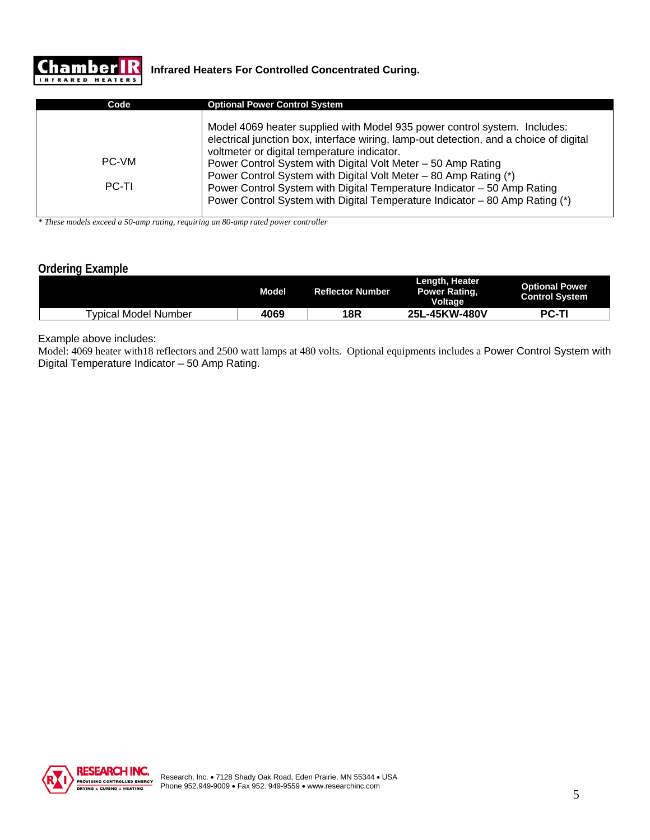

| Code         | <b>Optional Power Control System</b>                                                                                                                                                                                                                                               |
|--------------|------------------------------------------------------------------------------------------------------------------------------------------------------------------------------------------------------------------------------------------------------------------------------------|
| PC-VM        | Model 4069 heater supplied with Model 935 power control system. Includes:<br>electrical junction box, interface wiring, lamp-out detection, and a choice of digital<br>voltmeter or digital temperature indicator.<br>Power Control System with Digital Volt Meter - 50 Amp Rating |
| <b>PC-TI</b> | Power Control System with Digital Volt Meter – 80 Amp Rating (*)<br>Power Control System with Digital Temperature Indicator - 50 Amp Rating<br>Power Control System with Digital Temperature Indicator - 80 Amp Rating (*)                                                         |

*\* These models exceed a 50-amp rating, requiring an 80-amp rated power controller* 

# **Ordering Example**

|                      | Model | <b>Reflector Number</b> | Length, Heater<br><b>Power Rating,</b><br><b>Voltage</b> | <b>Optional Power</b><br><b>Control System</b> |
|----------------------|-------|-------------------------|----------------------------------------------------------|------------------------------------------------|
| Typical Model Number | 4069  | 18R                     | <sub>--</sub> 45KW-480V<br>25L                           | <b>PC-TI</b>                                   |

Example above includes:

Model: 4069 heater with18 reflectors and 2500 watt lamps at 480 volts. Optional equipments includes a Power Control System with Digital Temperature Indicator – 50 Amp Rating.

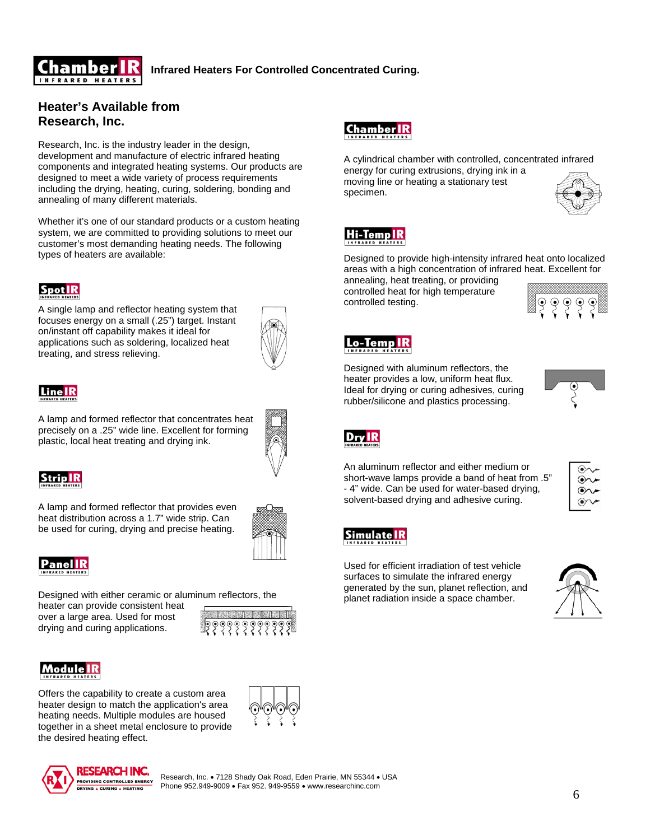

### **Infrared Heaters For Controlled Concentrated Curing.**

## **Heater's Available from Research, Inc.**

Research, Inc. is the industry leader in the design, development and manufacture of electric infrared heating components and integrated heating systems. Our products are designed to meet a wide variety of process requirements including the drying, heating, curing, soldering, bonding and annealing of many different materials.

Whether it's one of our standard products or a custom heating system, we are committed to providing solutions to meet our customer's most demanding heating needs. The following types of heaters are available:

# **SpotIR**

A single lamp and reflector heating system that focuses energy on a small (.25") target. Instant on/instant off capability makes it ideal for applications such as soldering, localized heat treating, and stress relieving.



# Line IR

A lamp and formed reflector that concentrates heat precisely on a .25" wide line. Excellent for forming plastic, local heat treating and drying ink.



# **Strip**

A lamp and formed reflector that provides even heat distribution across a 1.7" wide strip. Can be used for curing, drying and precise heating.



Designed with either ceramic or aluminum reflectors, the

heater can provide consistent heat over a large area. Used for most drying and curing applications.



Offers the capability to create a custom area heater design to match the application's area heating needs. Multiple modules are housed together in a sheet metal enclosure to provide the desired heating effect.





 $\frac{1}{6}$ Research, Inc. • 7128 Shady Oak Road, Eden Prairie, MN 55344 • USA Phone 952.949-9009 • Fax 952. 949-9559 • www.researchinc.com



A cylindrical chamber with controlled, concentrated infrared energy for curing extrusions, drying ink in a

moving line or heating a stationary test specimen.



# Hi-Temp**IR**

Designed to provide high-intensity infrared heat onto localized areas with a high concentration of infrared heat. Excellent for

annealing, heat treating, or providing controlled heat for high temperature controlled testing.





Designed with aluminum reflectors, the heater provides a low, uniform heat flux. Ideal for drying or curing adhesives, curing rubber/silicone and plastics processing.





An aluminum reflector and either medium or short-wave lamps provide a band of heat from .5" - 4" wide. Can be used for water-based drying, solvent-based drying and adhesive curing.

| $(\bullet)$ |  |
|-------------|--|
| ∽<br>⊛∼     |  |
| ⊛           |  |
| (●)∩<br>∽   |  |



Used for efficient irradiation of test vehicle surfaces to simulate the infrared energy generated by the sun, planet reflection, and planet radiation inside a space chamber.